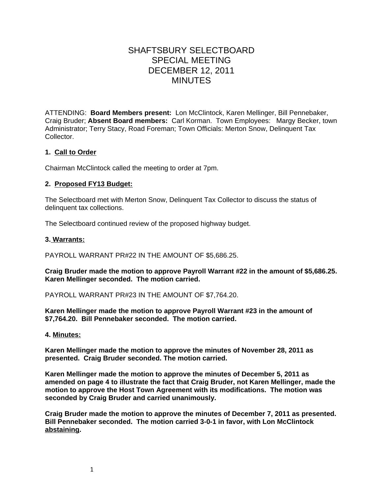# SHAFTSBURY SELECTBOARD SPECIAL MEETING DECEMBER 12, 2011 MINUTES

ATTENDING: **Board Members present:** Lon McClintock, Karen Mellinger, Bill Pennebaker, Craig Bruder; **Absent Board members:** Carl Korman. Town Employees: Margy Becker, town Administrator; Terry Stacy, Road Foreman; Town Officials: Merton Snow, Delinquent Tax Collector.

## **1. Call to Order**

Chairman McClintock called the meeting to order at 7pm.

## **2. Proposed FY13 Budget:**

The Selectboard met with Merton Snow, Delinquent Tax Collector to discuss the status of delinquent tax collections.

The Selectboard continued review of the proposed highway budget.

## **3. Warrants:**

PAYROLL WARRANT PR#22 IN THE AMOUNT OF \$5,686.25.

**Craig Bruder made the motion to approve Payroll Warrant #22 in the amount of \$5,686.25. Karen Mellinger seconded. The motion carried.**

PAYROLL WARRANT PR#23 IN THE AMOUNT OF \$7,764.20.

**Karen Mellinger made the motion to approve Payroll Warrant #23 in the amount of \$7,764.20. Bill Pennebaker seconded. The motion carried.**

#### **4. Minutes:**

**Karen Mellinger made the motion to approve the minutes of November 28, 2011 as presented. Craig Bruder seconded. The motion carried.**

**Karen Mellinger made the motion to approve the minutes of December 5, 2011 as amended on page 4 to illustrate the fact that Craig Bruder, not Karen Mellinger, made the motion to approve the Host Town Agreement with its modifications. The motion was seconded by Craig Bruder and carried unanimously.**

**Craig Bruder made the motion to approve the minutes of December 7, 2011 as presented. Bill Pennebaker seconded. The motion carried 3-0-1 in favor, with Lon McClintock abstaining.**